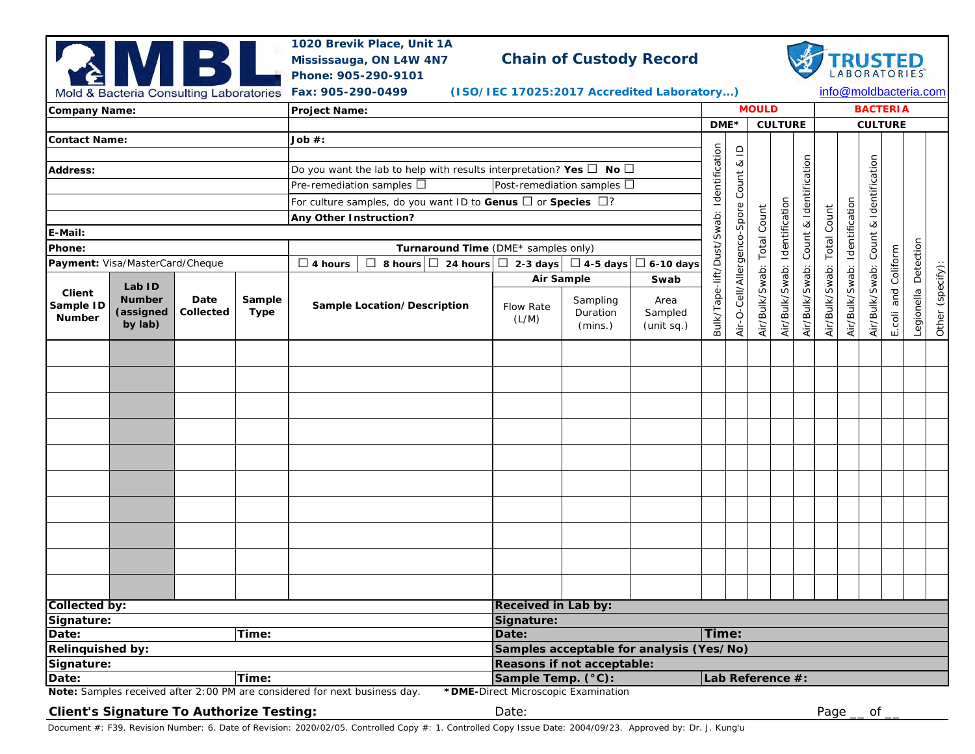|                                 | Mold & Bacteria Consulting Laboratories  | MBI               |                | Phone: 905-290-9101<br>Fax: 905-290-0499                                      | 1020 Brevik Place, Unit 1A<br>Mississauga, ON L4W 4N7 |                                                                                    |                                 | Chain of Custody Record<br>(ISO/IEC 17025:2017 Accredited Laboratory) |                                                                         |                                  |                               |                |                        |                 |                |                                                |                      | <b>TRUSTED</b><br>info@moldbacteria.com |  |
|---------------------------------|------------------------------------------|-------------------|----------------|-------------------------------------------------------------------------------|-------------------------------------------------------|------------------------------------------------------------------------------------|---------------------------------|-----------------------------------------------------------------------|-------------------------------------------------------------------------|----------------------------------|-------------------------------|----------------|------------------------|-----------------|----------------|------------------------------------------------|----------------------|-----------------------------------------|--|
| Company Name:<br>Contact Name:  |                                          |                   |                | Project Name:                                                                 |                                                       |                                                                                    |                                 |                                                                       |                                                                         | <b>MOULD</b>                     |                               |                |                        | <b>BACTERIA</b> |                |                                                |                      |                                         |  |
|                                 |                                          |                   |                | Job #:                                                                        |                                                       |                                                                                    |                                 |                                                                       | $DME*$                                                                  |                                  |                               | <b>CULTURE</b> |                        |                 | <b>CULTURE</b> |                                                |                      |                                         |  |
|                                 |                                          |                   |                | Do you want the lab to help with results interpretation? Yes $\Box$ No $\Box$ |                                                       |                                                                                    |                                 |                                                                       |                                                                         | $\mathop{\underline{\cup}}$<br>∞ |                               |                |                        |                 |                |                                                |                      |                                         |  |
| Address:                        |                                          |                   |                |                                                                               |                                                       | Post-remediation samples $\square$                                                 |                                 |                                                                       |                                                                         | Count                            |                               |                |                        |                 |                | & Identification                               |                      |                                         |  |
|                                 |                                          |                   |                | Pre-remediation samples $\square$                                             |                                                       |                                                                                    |                                 |                                                                       |                                                                         |                                  |                               |                |                        |                 |                |                                                |                      |                                         |  |
|                                 |                                          |                   |                | For culture samples, do you want ID to Genus $\Box$ or Species $\Box$ ?       |                                                       |                                                                                    |                                 |                                                                       |                                                                         |                                  |                               |                |                        |                 |                |                                                |                      |                                         |  |
| E-Mail:                         |                                          |                   |                | Any Other Instruction?                                                        |                                                       |                                                                                    |                                 |                                                                       |                                                                         |                                  |                               |                | Count & Identification | Count           | Identification |                                                |                      |                                         |  |
| Phone:                          |                                          |                   |                |                                                                               | Turnaround Time (DME* samples only)                   |                                                                                    |                                 |                                                                       |                                                                         |                                  |                               |                |                        | Total           |                | Count                                          |                      |                                         |  |
| Payment: Visa/MasterCard/Cheque |                                          |                   |                | $\Box$ 4 hours                                                                |                                                       | $\Box$ 6-10 days<br>$\Box$ 8 hours $\Box$ 24 hours $\Box$ 2-3 days $\Box$ 4-5 days |                                 |                                                                       |                                                                         |                                  |                               |                |                        |                 |                |                                                | Coliform             |                                         |  |
|                                 |                                          |                   |                |                                                                               |                                                       | Air Sample                                                                         | Swab                            |                                                                       |                                                                         |                                  |                               |                |                        |                 |                |                                                |                      |                                         |  |
| Client<br>Sample ID<br>Number   | Lab ID<br>Number<br>(assigned<br>by lab) | Date<br>Collected | Sample<br>Type |                                                                               | Sample Location/Description                           | Flow Rate<br>(L/M)                                                                 | Sampling<br>Duration<br>(mins.) | Area<br>Sampled<br>(unit sq.)                                         | Bulk/Tape-lift/Dust/Swab: Identification<br>Air-O-Cell/Allergenco-Spore | Air/Bulk/Swab: Total Count       | Air/Bulk/Swab: Identification | Air/Bulk/Swab: | Air/Bulk/Swab:         | Air/Bulk/Swab:  | Air/Bulk/Swab: | and<br>$\overline{\overline{\mathrm{c}}}$<br>ш | Legionella Detection | Other (specify):                        |  |
|                                 |                                          |                   |                |                                                                               |                                                       |                                                                                    |                                 |                                                                       |                                                                         |                                  |                               |                |                        |                 |                |                                                |                      |                                         |  |
|                                 |                                          |                   |                |                                                                               |                                                       |                                                                                    |                                 |                                                                       |                                                                         |                                  |                               |                |                        |                 |                |                                                |                      |                                         |  |
| Collected by:<br>Signature:     |                                          |                   |                |                                                                               |                                                       | Received in Lab by:<br>Signature:                                                  |                                 |                                                                       |                                                                         |                                  |                               |                |                        |                 |                |                                                |                      |                                         |  |
| Time:<br>Date:                  |                                          |                   |                |                                                                               | Date:                                                 |                                                                                    |                                 |                                                                       | Time:                                                                   |                                  |                               |                |                        |                 |                |                                                |                      |                                         |  |
| Relinquished by:                |                                          |                   |                |                                                                               |                                                       | Samples acceptable for analysis (Yes/No)                                           |                                 |                                                                       |                                                                         |                                  |                               |                |                        |                 |                |                                                |                      |                                         |  |
| Signature:                      |                                          |                   |                |                                                                               |                                                       | Reasons if not acceptable:                                                         |                                 |                                                                       |                                                                         |                                  |                               |                |                        |                 |                |                                                |                      |                                         |  |
| Time:<br>Date:                  |                                          |                   |                |                                                                               |                                                       | Sample Temp. (°C):<br>Lab Reference #:                                             |                                 |                                                                       |                                                                         |                                  |                               |                |                        |                 |                |                                                |                      |                                         |  |
|                                 |                                          |                   |                | Note: Samples received after 2:00 PM are considered for next business day.    |                                                       | *DME-Direct Microscopic Examination                                                |                                 |                                                                       |                                                                         |                                  |                               |                |                        |                 |                |                                                |                      |                                         |  |

## **Client's Signature To Authorize Testing:** Date: Page \_\_ of \_\_

Document #: F39. Revision Number: 6. Date of Revision: 2020/02/05. Controlled Copy #: 1. Controlled Copy Issue Date: 2004/09/23. Approved by: Dr. J. Kung'u